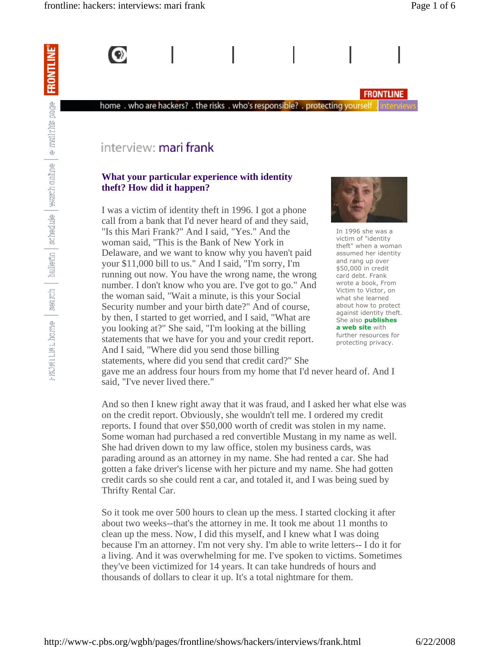

### **FRONTLINE**

# interview: mari frank

### **What your particular experience with identity theft? How did it happen?**

home. who are hackers? . the risks. who's responsible? . protecting yourself

I was a victim of identity theft in 1996. I got a phone call from a bank that I'd never heard of and they said, "Is this Mari Frank?" And I said, "Yes." And the woman said, "This is the Bank of New York in Delaware, and we want to know why you haven't paid your \$11,000 bill to us." And I said, "I'm sorry, I'm running out now. You have the wrong name, the wrong number. I don't know who you are. I've got to go." And the woman said, "Wait a minute, is this your Social Security number and your birth date?" And of course, by then, I started to get worried, and I said, "What are you looking at?" She said, "I'm looking at the billing statements that we have for you and your credit report. And I said, "Where did you send those billing statements, where did you send that credit card?" She



In 1996 she was a victim of "identity theft" when a woman assumed her identity and rang up over \$50,000 in credit card debt. Frank wrote a book, From Victim to Victor, on what she learned about how to protect against identity theft. She also **publishes a web site** with further resources for protecting privacy.

gave me an address four hours from my home that I'd never heard of. And I said, "I've never lived there."

And so then I knew right away that it was fraud, and I asked her what else was on the credit report. Obviously, she wouldn't tell me. I ordered my credit reports. I found that over \$50,000 worth of credit was stolen in my name. Some woman had purchased a red convertible Mustang in my name as well. She had driven down to my law office, stolen my business cards, was parading around as an attorney in my name. She had rented a car. She had gotten a fake driver's license with her picture and my name. She had gotten credit cards so she could rent a car, and totaled it, and I was being sued by Thrifty Rental Car.

So it took me over 500 hours to clean up the mess. I started clocking it after about two weeks--that's the attorney in me. It took me about 11 months to clean up the mess. Now, I did this myself, and I knew what I was doing because I'm an attorney. I'm not very shy. I'm able to write letters-- I do it for a living. And it was overwhelming for me. I've spoken to victims. Sometimes they've been victimized for 14 years. It can take hundreds of hours and thousands of dollars to clear it up. It's a total nightmare for them.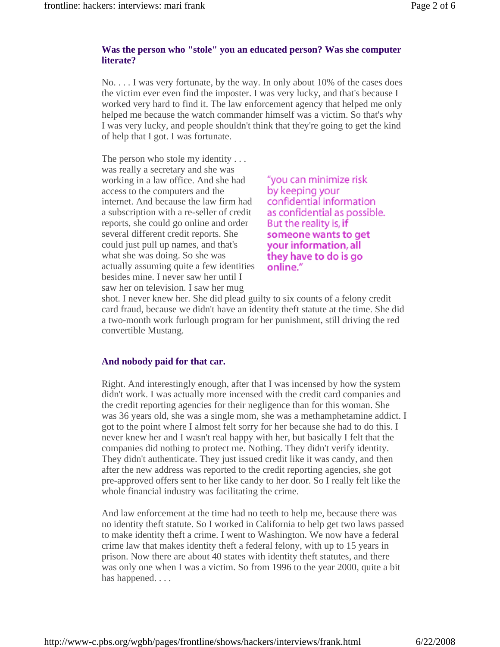### **Was the person who "stole" you an educated person? Was she computer literate?**

No. . . . I was very fortunate, by the way. In only about 10% of the cases does the victim ever even find the imposter. I was very lucky, and that's because I worked very hard to find it. The law enforcement agency that helped me only helped me because the watch commander himself was a victim. So that's why I was very lucky, and people shouldn't think that they're going to get the kind of help that I got. I was fortunate.

The person who stole my identity ... was really a secretary and she was working in a law office. And she had access to the computers and the internet. And because the law firm had a subscription with a re-seller of credit reports, she could go online and order several different credit reports. She could just pull up names, and that's what she was doing. So she was actually assuming quite a few identities besides mine. I never saw her until I saw her on television. I saw her mug

"you can minimize risk by keeping your confidential information as confidential as possible. But the reality is, if someone wants to get your information, all they have to do is go online."

shot. I never knew her. She did plead guilty to six counts of a felony credit card fraud, because we didn't have an identity theft statute at the time. She did a two-month work furlough program for her punishment, still driving the red convertible Mustang.

# **And nobody paid for that car.**

Right. And interestingly enough, after that I was incensed by how the system didn't work. I was actually more incensed with the credit card companies and the credit reporting agencies for their negligence than for this woman. She was 36 years old, she was a single mom, she was a methamphetamine addict. I got to the point where I almost felt sorry for her because she had to do this. I never knew her and I wasn't real happy with her, but basically I felt that the companies did nothing to protect me. Nothing. They didn't verify identity. They didn't authenticate. They just issued credit like it was candy, and then after the new address was reported to the credit reporting agencies, she got pre-approved offers sent to her like candy to her door. So I really felt like the whole financial industry was facilitating the crime.

And law enforcement at the time had no teeth to help me, because there was no identity theft statute. So I worked in California to help get two laws passed to make identity theft a crime. I went to Washington. We now have a federal crime law that makes identity theft a federal felony, with up to 15 years in prison. Now there are about 40 states with identity theft statutes, and there was only one when I was a victim. So from 1996 to the year 2000, quite a bit has happened. . . .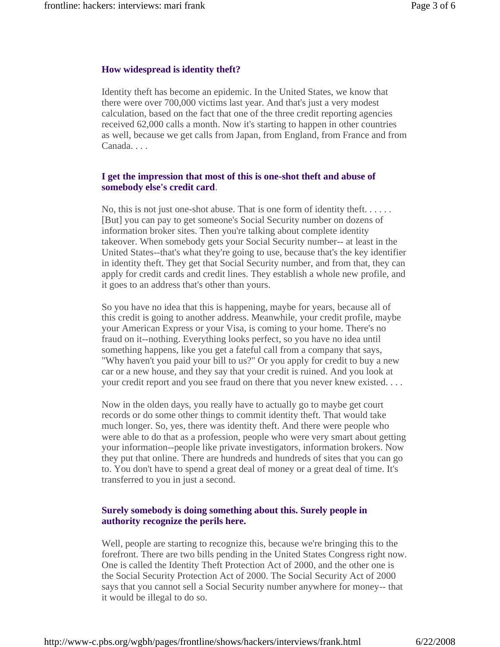# **How widespread is identity theft?**

Identity theft has become an epidemic. In the United States, we know that there were over 700,000 victims last year. And that's just a very modest calculation, based on the fact that one of the three credit reporting agencies received 62,000 calls a month. Now it's starting to happen in other countries as well, because we get calls from Japan, from England, from France and from Canada. . . .

# **I get the impression that most of this is one-shot theft and abuse of somebody else's credit card**.

No, this is not just one-shot abuse. That is one form of identity theft. . . . . . [But] you can pay to get someone's Social Security number on dozens of information broker sites. Then you're talking about complete identity takeover. When somebody gets your Social Security number-- at least in the United States--that's what they're going to use, because that's the key identifier in identity theft. They get that Social Security number, and from that, they can apply for credit cards and credit lines. They establish a whole new profile, and it goes to an address that's other than yours.

So you have no idea that this is happening, maybe for years, because all of this credit is going to another address. Meanwhile, your credit profile, maybe your American Express or your Visa, is coming to your home. There's no fraud on it--nothing. Everything looks perfect, so you have no idea until something happens, like you get a fateful call from a company that says, "Why haven't you paid your bill to us?" Or you apply for credit to buy a new car or a new house, and they say that your credit is ruined. And you look at your credit report and you see fraud on there that you never knew existed. . . .

Now in the olden days, you really have to actually go to maybe get court records or do some other things to commit identity theft. That would take much longer. So, yes, there was identity theft. And there were people who were able to do that as a profession, people who were very smart about getting your information--people like private investigators, information brokers. Now they put that online. There are hundreds and hundreds of sites that you can go to. You don't have to spend a great deal of money or a great deal of time. It's transferred to you in just a second.

# **Surely somebody is doing something about this. Surely people in authority recognize the perils here.**

Well, people are starting to recognize this, because we're bringing this to the forefront. There are two bills pending in the United States Congress right now. One is called the Identity Theft Protection Act of 2000, and the other one is the Social Security Protection Act of 2000. The Social Security Act of 2000 says that you cannot sell a Social Security number anywhere for money-- that it would be illegal to do so.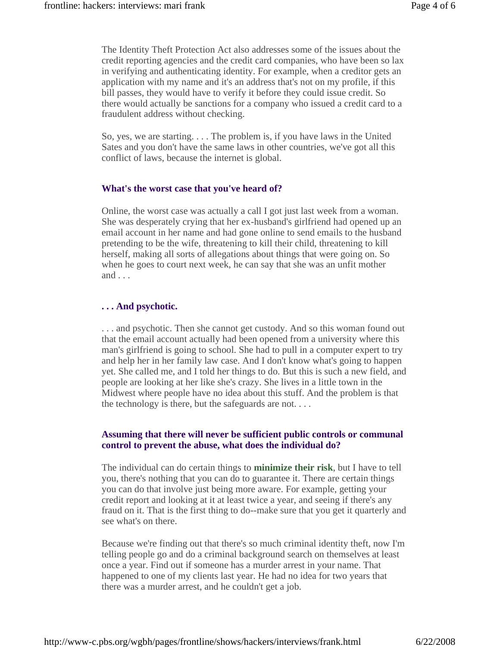The Identity Theft Protection Act also addresses some of the issues about the credit reporting agencies and the credit card companies, who have been so lax in verifying and authenticating identity. For example, when a creditor gets an application with my name and it's an address that's not on my profile, if this bill passes, they would have to verify it before they could issue credit. So there would actually be sanctions for a company who issued a credit card to a fraudulent address without checking.

So, yes, we are starting. . . . The problem is, if you have laws in the United Sates and you don't have the same laws in other countries, we've got all this conflict of laws, because the internet is global.

#### **What's the worst case that you've heard of?**

Online, the worst case was actually a call I got just last week from a woman. She was desperately crying that her ex-husband's girlfriend had opened up an email account in her name and had gone online to send emails to the husband pretending to be the wife, threatening to kill their child, threatening to kill herself, making all sorts of allegations about things that were going on. So when he goes to court next week, he can say that she was an unfit mother and . . .

#### **. . . And psychotic.**

. . . and psychotic. Then she cannot get custody. And so this woman found out that the email account actually had been opened from a university where this man's girlfriend is going to school. She had to pull in a computer expert to try and help her in her family law case. And I don't know what's going to happen yet. She called me, and I told her things to do. But this is such a new field, and people are looking at her like she's crazy. She lives in a little town in the Midwest where people have no idea about this stuff. And the problem is that the technology is there, but the safeguards are not. . . .

#### **Assuming that there will never be sufficient public controls or communal control to prevent the abuse, what does the individual do?**

The individual can do certain things to **minimize their risk**, but I have to tell you, there's nothing that you can do to guarantee it. There are certain things you can do that involve just being more aware. For example, getting your credit report and looking at it at least twice a year, and seeing if there's any fraud on it. That is the first thing to do--make sure that you get it quarterly and see what's on there.

Because we're finding out that there's so much criminal identity theft, now I'm telling people go and do a criminal background search on themselves at least once a year. Find out if someone has a murder arrest in your name. That happened to one of my clients last year. He had no idea for two years that there was a murder arrest, and he couldn't get a job.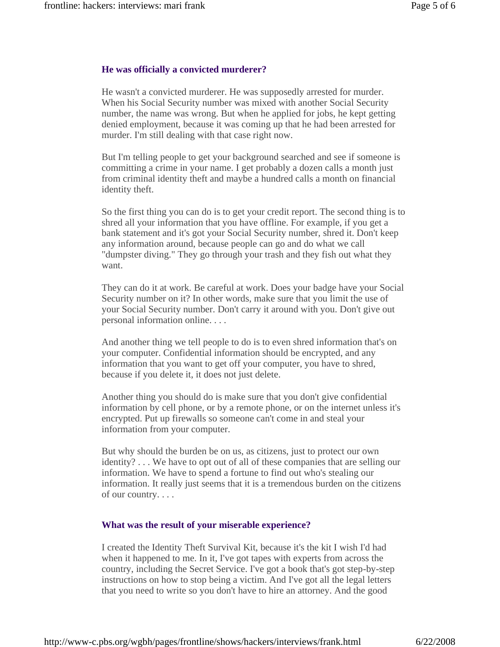#### **He was officially a convicted murderer?**

He wasn't a convicted murderer. He was supposedly arrested for murder. When his Social Security number was mixed with another Social Security number, the name was wrong. But when he applied for jobs, he kept getting denied employment, because it was coming up that he had been arrested for murder. I'm still dealing with that case right now.

But I'm telling people to get your background searched and see if someone is committing a crime in your name. I get probably a dozen calls a month just from criminal identity theft and maybe a hundred calls a month on financial identity theft.

So the first thing you can do is to get your credit report. The second thing is to shred all your information that you have offline. For example, if you get a bank statement and it's got your Social Security number, shred it. Don't keep any information around, because people can go and do what we call "dumpster diving." They go through your trash and they fish out what they want.

They can do it at work. Be careful at work. Does your badge have your Social Security number on it? In other words, make sure that you limit the use of your Social Security number. Don't carry it around with you. Don't give out personal information online. . . .

And another thing we tell people to do is to even shred information that's on your computer. Confidential information should be encrypted, and any information that you want to get off your computer, you have to shred, because if you delete it, it does not just delete.

Another thing you should do is make sure that you don't give confidential information by cell phone, or by a remote phone, or on the internet unless it's encrypted. Put up firewalls so someone can't come in and steal your information from your computer.

But why should the burden be on us, as citizens, just to protect our own identity? . . . We have to opt out of all of these companies that are selling our information. We have to spend a fortune to find out who's stealing our information. It really just seems that it is a tremendous burden on the citizens of our country. . . .

#### **What was the result of your miserable experience?**

I created the Identity Theft Survival Kit, because it's the kit I wish I'd had when it happened to me. In it, I've got tapes with experts from across the country, including the Secret Service. I've got a book that's got step-by-step instructions on how to stop being a victim. And I've got all the legal letters that you need to write so you don't have to hire an attorney. And the good